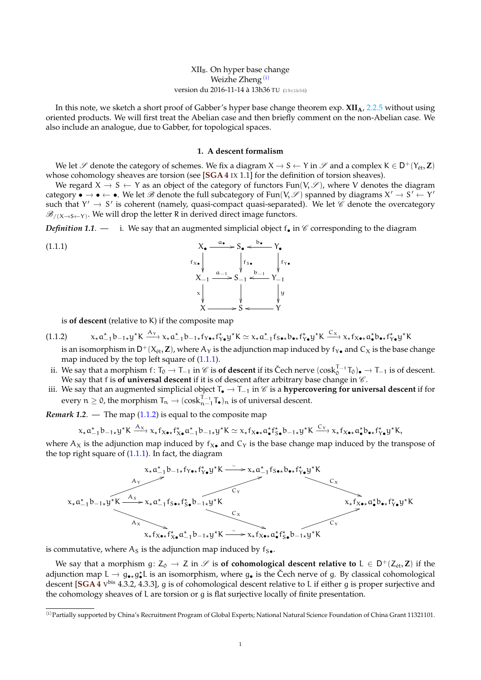# $XII<sub>B</sub>$ . On hyper base change Weizhe Zheng $(i)$  $(i)$ version du 2016-11-14 à 13h36 TU (19c1b56)

<span id="page-0-3"></span>In this note, we sketch a short proof of Gabber's hyper base change theorem exp. **XIIA**, 2.2.5 without using oriented products. We will first treat the Abelian case and then briefly comment on the non-Abelian case. We also include an analogue, due to Gabber, for topological spaces.

### <span id="page-0-1"></span>**1. A descent formalism**

<span id="page-0-4"></span>We let S denote the category of schemes. We fix a diagram  $X \to S \leftarrow Y$  in S and a complex  $K \in D^+(Y_{\text{\'et}}, Z)$ whose cohomology sheaves are torsion (see [**SGA 4** IX 1.1] for the definition of torsion sheaves).

We regard  $X \rightarrow S \leftarrow Y$  as an object of the category of functors Fun(V,  $\mathscr{S}$ ), where V denotes the diagram category •  $\rightarrow$  •  $\leftarrow$  •. We let B denote the full subcategory of Fun(V, S) spanned by diagrams  $X' \rightarrow S' \leftarrow Y'$ such that  $Y' \rightarrow S'$  is coherent (namely, quasi-compact quasi-separated). We let  $\mathscr{C}$  denote the overcategory  $\mathscr{B}_{/(\mathsf{X}\rightarrow\mathsf{S}\leftarrow\mathsf{Y})}.$  We will drop the letter R in derived direct image functors.

*Definition 1.1.* — i. We say that an augmented simplicial object  $f_{\bullet}$  in  $\mathscr{C}$  corresponding to the diagram

(1.1.1)  
\n
$$
X_{\bullet} \xrightarrow{a_{\bullet}} S_{\bullet} \xleftarrow{b_{\bullet}} Y_{\bullet}
$$
\n
$$
f_{x_{\bullet}} \downarrow f_{y_{\bullet}}
$$
\n
$$
X_{-1} \xrightarrow{a_{-1}} S_{-1} \xleftarrow{b_{-1}} Y_{-1}
$$
\n
$$
\times \downarrow \qquad \qquad \downarrow \qquad \qquad \downarrow
$$
\n
$$
X \xrightarrow{X \xrightarrow{a_{-1}}} S \xleftarrow{Y}
$$

<span id="page-0-2"></span>is **of descent** (relative to K) if the composite map

$$
(1.1.2) \t x_{\star} a_{-1}^{\star} b_{-1\star} y^{\star} K \xrightarrow{A_{\Upsilon}} x_{\star} a_{-1}^{\star} b_{-1\star} f_{\Upsilon \bullet \star} f_{\Upsilon \bullet}^{\star} y^{\star} K \simeq x_{\star} a_{-1}^{\star} f_{S \bullet \star} b_{\bullet \star} f_{\Upsilon \bullet}^{\star} y^{\star} K \xrightarrow{C_{X}} x_{\star} f_{X \bullet \star} a_{\bullet}^{\star} b_{\bullet \star} f_{\Upsilon \bullet}^{\star} y^{\star} K
$$

is an isomorphism in  $\mathsf{D}^+(X_\text{\rm \'et},\mathbf{Z})$ , where  $\mathsf{A}_\mathsf{Y}$  is the adjunction map induced by  $\mathsf{f}_{\mathsf{Y}\bullet}$  and  $\mathsf{C}_X$  is the base change map induced by the top left square of  $(1.1.1)$ .

- ii. We say that a morphism f:  $T_0 \to T_{-1}$  in  $\mathscr C$  is **of descent** if its Čech nerve  $(\cos k_0^{T-1}T_0)_\bullet \to T_{-1}$  is of descent.<br>We say that f is a f universal descent if it is a f descent after white we have a hange in We say that f is **of universal descent** if it is of descent after arbitrary base change in  $\mathscr{C}$ .
- iii. We say that an augmented simplicial object <sup>T</sup> <sup>→</sup> <sup>T</sup>−<sup>1</sup> in <sup>C</sup> is a **hypercovering for universal descent** if for every  $n \geq 0$ , the morphism  $T_n \to (\cosh_{n-1}^{T-1} T_{\bullet})_n$  is of universal descent.

*Remark 1.2.* — The map  $(1.1.2)$  is equal to the composite map

$$
x_{\star}a_{-1}^{\star}b_{-1\star}y^{\star}K \xrightarrow{A_X} x_{\star}f_{X\bullet\star}f_{X\bullet}^{\star}a_{-1}^{\star}b_{-1\star}y^{\star}K \simeq x_{\star}f_{X\bullet\star}a_{\bullet}^{\star}f_{S\bullet}^{\star}b_{-1\star}y^{\star}K \xrightarrow{C_Y} x_{\star}f_{X\bullet\star}a_{\bullet}^{\star}b_{\bullet\star}f_{Y\bullet}^{\star}y^{\star}K,
$$

where  $A_X$  is the adjunction map induced by  $f_X$ , and  $C_Y$  is the base change map induced by the transpose of the top right square of  $(1.1.1)$ . In fact, the diagram



is commutative, where  $A_S$  is the adjunction map induced by  $f_{S\bullet}$ .

We say that a morphism  $g: Z_0 \to Z$  in  $\mathscr S$  is **of cohomological descent relative to**  $L \in D^+(Z_{\text{\'et}}, Z)$  if the adjunction map  $L \to g_{\bullet\star}g_{\bullet}^{\star}L$  is an isomorphism, where  $g_{\bullet}$  is the Čech nerve of g. By classical cohomological descent [**SGA 4** V bis 4.3.2, 4.3.3], g is of cohomological descent relative to L if either g is proper surjective and the cohomology sheaves of L are torsion or g is flat surjective locally of finite presentation.

<span id="page-0-0"></span><sup>(</sup>i)Partially supported by China's Recruitment Program of Global Experts; National Natural Science Foundation of China Grant 11321101.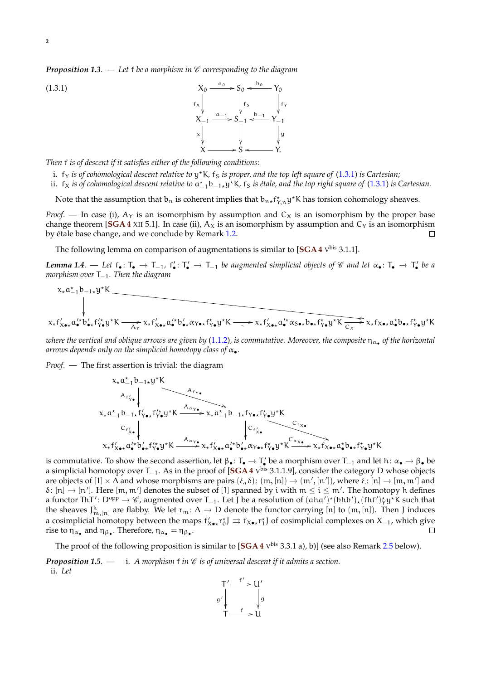*Proposition 1.3.* — Let f be a morphism in  $\mathscr C$  corresponding to the diagram

<span id="page-1-0"></span>

*Then* f *is of descent if it satisfies either of the following conditions:*

- i. f<sub>Y</sub> is of cohomological descent relative to y<sup>\*</sup>K, f<sub>S</sub> is proper, and the top left square of [\(1.3.1\)](#page-1-0) is Cartesian;
- ii. f<sub>X</sub> is of cohomological descent relative to  $\mathfrak{a}_{-1}^{\star} \mathsf{b}_{-1\star} \mathsf{y}^{\star} \mathsf{K}$ , f<sub>S</sub> is étale, and the top right square of [\(1.3.1\)](#page-1-0) is Cartesian.

Note that the assumption that  $b_n$  is coherent implies that  $b_{n*}f_{Y,n}^*y^*$ K has torsion cohomology sheaves.

*Proof.* — In case (i),  $A_Y$  is an isomorphism by assumption and  $C_X$  is an isomorphism by the proper base change theorem [SGA 4 XII 5.1]. In case (ii),  $A_X$  is an isomorphism by assumption and  $C_Y$  is an isomorphism by étale base change, and we conclude by Remark [1.2.](#page-0-3)  $\Box$ 

The following lemma on comparison of augmentations is similar to  $[\text{SGA 4 V}^{\text{bis}} 3.1.1]$ .

*Lemma* 1.4. — Let f•: Γ<sub>•</sub> → Γ<sub>−1</sub>, f'<sub>•</sub>: Γ' → Γ<sub>−1</sub> be augmented simplicial objects of € and let α•: Γ• → Γ' be a<br>*wombing* spar Γ – Than the discusses *morphism over* T−1*. Then the diagram*

$$
x_{\star} a_{-1}^{\prime} b_{-1\star} y^{\star} K
$$

*where the vertical and oblique arrows are given by* [\(1.1.2\)](#page-0-2)*, is commutative. Moreover, the composite* η<sup>α</sup>• *of the horizontal arrows depends only on the simplicial homotopy class of* α•*.*

*Proof*. — The first assertion is trivial: the diagram

$$
x_{*}a_{1}^{*}b_{-1*}y^{*}K
$$
\n
$$
x_{*}a_{-1}^{*}b_{-1*}f'_{Y\bullet x}f''_{Y\bullet}y^{*}K \xrightarrow{A_{\alpha_{Y\bullet}}} x_{*}a_{-1}^{*}b_{-1*}f'_{Y\bullet x}f''_{Y\bullet}y^{*}K
$$
\n
$$
c_{f'_{X\bullet}}\downarrow c_{f'_{X\bullet}}\downarrow c_{f'_{X\bullet}}\downarrow c_{f'_{X\bullet}}c_{X\bullet}f'_{Y\bullet}y^{*}K \xrightarrow{A_{\alpha_{Y\bullet}}} x_{*}f'_{X\bullet x}a_{\bullet}^{\prime*}b'_{\bullet*}\alpha_{Y\bullet x}f''_{Y\bullet}y^{*}K \xrightarrow{C_{f_{X\bullet}}} x_{*}f'_{X\bullet x}a_{\bullet}^{\star}b_{\bullet*}f''_{Y\bullet}y^{*}K
$$

is commutative. To show the second assertion, let  $\beta_{\bullet} : T_{\bullet} \to T'_{\bullet}$  be a morphism over  $T_{-1}$  and let h:  $\alpha_{\bullet} \to \beta_{\bullet}$  be a simplicial homotopy over T−1. As in the proof of [**SGA 4** V bis 3.1.1.9], consider the category D whose objects are objects of  $[1] \times \Delta$  and whose morphisms are pairs  $(\xi, \delta)$ :  $(m, [n]) \rightarrow (m', [n'])$ , where  $\xi$ :  $[n] \rightarrow [m, m']$  and  $\xi$ ,  $[n] \rightarrow [m, m']$  and  $\delta: [n] \to [n']$ . Here  $[m, m']$  denotes the subset of [1] spanned by i with  $m \le i \le m'$ . The homotopy h defines a functor ThT': D<sup>opp</sup>  $\rightarrow \mathcal{C}$ , augmented over T<sub>−1</sub>. Let J be a resolution of  $(aha')^*(bhb')_*(fhf')^*\psi^*K$  such that the sheaves  $J_{m,[n]}^k$  are flabby. We let  $r_m: \Delta \to D$  denote the functor carrying [n] to  $(m,[n])$ . Then J induces a cosimplicial homotopy between the maps  $f'_{x\bullet *}r_0^{\star}J \Rightarrow f_{x\bullet *}r_1^{\star}J$  of cosimplicial complexes on  $X_{-1}$ , which give rise to  $\eta_{\alpha_{\bullet}}$  and  $\eta_{\beta_{\bullet}}$ . Therefore,  $\eta_{\alpha_{\bullet}} = \eta_{\beta_{\bullet}}$ .  $\Box$ 

The proof of the following proposition is similar to [**SGA 4** V bis 3.3.1 a), b)] (see also Remark [2.5](#page-0-3) below).

**Proposition 1.5.** — i. A morphism f in  $\mathscr C$  is of universal descent if it admits a section.

ii. *Let*



 $(1.3.1)$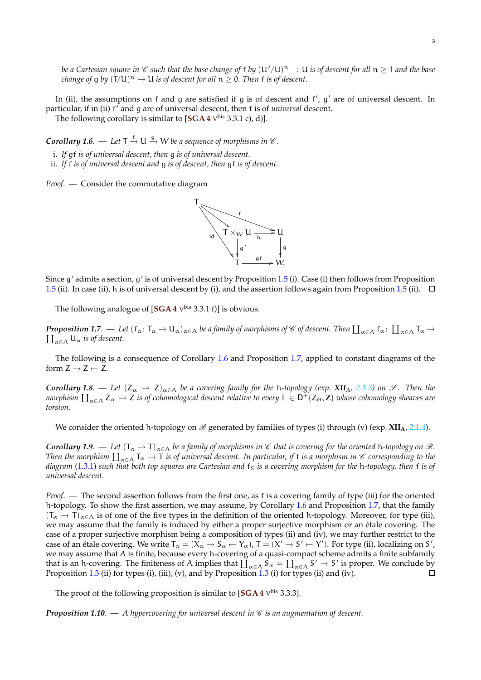*be a Cartesian square in*  $\mathscr C$  *such that the base change of* f *by*  $(U'/U)^n \to U$  *is of descent for all*  $n \ge 1$  *and the base*<br>*shaves* of a by ( $T/(U)^n \to U$  is of description all  $n \ge 0$ . Then f is of description of des *change of g by*  $(T/U)^n \to U$  *is of descent for all*  $n \ge 0$ . Then f *is of descent*.

In (ii), the assumptions on f and  $g$  are satisfied if  $g$  is of descent and  $f'$ ,  $g'$  are of universal descent. In particular, if in (ii) f<sup>7</sup> and g are of universal descent, then f is of *universal* descent.

The following corollary is similar to [SGA 4 V<sup>bis</sup> 3.3.1 c), d)].

**Corollary 1.6.** — Let  $T \stackrel{f}{\rightarrow} U \stackrel{g}{\rightarrow} W$  be a sequence of morphisms in  $\mathscr{C}$ .

i. *If* gf *is of universal descent, then* g *is of universal descent.*

ii. *If* f *is of universal descent and* g *is of descent, then* gf *is of descent.*

*Proof*. — Consider the commutative diagram



Since g' admits a section, g' is of universal descent by Proposition [1.5](#page-0-3) (i). Case (i) then follows from Proposition [1.5](#page-0-3) (ii). In case (ii), h is of universal descent by (i), and the assertion follows again from Proposition 1.5 (ii).  $\Box$ 

The following analogue of [**SGA 4** V bis 3.3.1 f)] is obvious.

*Proposition 1.7.* — Let  $(f_\alpha: T_\alpha \to U_\alpha)_{\alpha \in A}$  *be a family of morphisms of*  $\mathscr C$  *of descent. Then*  $\coprod_{\alpha \in A} f_\alpha: \coprod_{\alpha \in A} T_\alpha \to \coprod_{\alpha \in A} g_\alpha$  is *of descent.*  $\prod_{\alpha \in A} U_{\alpha}$  *is of descent.* 

The following is a consequence of Corollary [1.6](#page-0-3) and Proposition [1.7,](#page-0-3) applied to constant diagrams of the form  $Z \rightarrow Z \leftarrow \overline{Z}$ .

*Corollary 1.8.* — *Let*  $(Z_\alpha \to Z)_{\alpha \in A}$  *be a covering family for the h-topology (exp. XII<sub>A</sub>, 2.1.3) on*  $\mathscr{S}$ *. Then the morphism*  $\prod_{\alpha \in A} Z_{\alpha} \to Z$  *is of cohomological descent relative to every* L ∈ D<sup>+</sup>(Z<sub>ét</sub>, **Z**) *whose cohomology sheaves are*<br>targian *torsion.*

We consider the oriented h-topology on  $\mathcal{B}$  generated by families of types (i) through (v) (exp. **XII<sub>A</sub>**, 2.1.4).

*Corollary 1.9.* — Let  $(T_\alpha \to T)_{\alpha \in A}$  be a family of morphisms in  $\mathscr C$  that is covering for the oriented h-topology on  $\mathscr B$ . *Then the morphism*  $\coprod_{\alpha \in A} T_{\alpha} \to T$  *is of universal descent. In particular, if* f *is a morphism in*  $\mathscr C$  *corresponding to the diagram* [\(1.3.1\)](#page-1-0) such that both top squares are Cartesian and  $f_s$  *is a covering morphism for the* h-topology, then f *is of universal descent.*

*Proof*. — The second assertion follows from the first one, as f is a covering family of type (iii) for the oriented h-topology. To show the first assertion, we may assume, by Corollary [1.6](#page-0-3) and Proposition [1.7,](#page-0-3) that the family  $(T_\alpha \to T)_{\alpha \in A}$  is of one of the five types in the definition of the oriented h-topology. Moreover, for type (iii), we may assume that the family is induced by either a proper surjective morphism or an étale covering. The case of a proper surjective morphism being a composition of types (ii) and (iv), we may further restrict to the case of an étale covering. We write  $T_{\alpha} = (X_{\alpha} \rightarrow S_{\alpha} \leftarrow Y_{\alpha})$ ,  $T = (X' \rightarrow S' \leftarrow Y')$ . For type (ii), localizing on S', we may assume that A is finite, because every h-covering of a quasi-compact scheme admits a finite subfamily that is an h-covering. The finiteness of A implies that  $\coprod_{\alpha \in A} S_{\alpha} = \coprod_{\alpha \in A} S' \to S'$  is proper. We conclude by Proposition [1.3](#page-0-3) (ii) for types (i), (iii), (v), and by Proposition 1.3 (i) for types (ii) and (iv).  $\Box$ 

The proof of the following proposition is similar to [SGA 4 V<sup>bis</sup> 3.3.3].

**Proposition 1.10.** — *A hypercovering for universal descent in*  $\mathscr C$  *is an augmentation of descent.*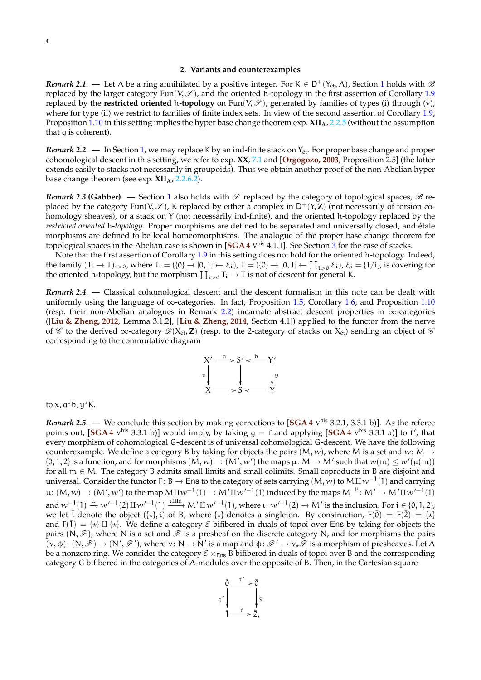## **2. Variants and counterexamples**

<span id="page-3-0"></span>*Remark* 2.[1](#page-0-4). — Let  $\Lambda$  be a ring annihilated by a positive integer. For K  $\in D^+(Y_{\text{\'et}},\Lambda)$ , Section 1 holds with  $\mathscr B$ replaced by the larger category Fun(V,  $\mathscr{S}$ ), and the oriented h-topology in the first assertion of Corollary [1.9](#page-0-3) replaced by the **restricted oriented** h-topology on  $Fun(V, \mathscr{S})$ , generated by families of types (i) through (v), where for type (ii) we restrict to families of finite index sets. In view of the second assertion of Corollary [1.9,](#page-0-3) Proposition [1.10](#page-0-3) in this setting implies the hyper base change theorem exp. **XIIA**, 2.2.5 (without the assumption that g is coherent).

Remark 2.2. — In Section [1,](#page-0-4) we may replace K by an ind-finite stack on Y<sub>ét</sub>. For proper base change and proper cohomological descent in this setting, we refer to exp. **XX**, 7.1 and [**[Orgogozo, 2003](#page-5-0)**, Proposition 2.5] (the latter extends easily to stacks not necessarily in groupoids). Thus we obtain another proof of the non-Abelian hyper base change theorem (see exp. **XIIA**, 2.2.6.2).

*Remark 2.3* (Gabber). — Section [1](#page-0-4) also holds with  $\mathscr S$  replaced by the category of topological spaces,  $\mathscr B$  replaced by the category Fun(V,  $\mathscr{S}$ ), K replaced by either a complex in  $D^+(Y,Z)$  (not necessarily of torsion cohomology sheaves), or a stack on Y (not necessarily ind-finite), and the oriented h-topology replaced by the *restricted oriented* h*-topology*. Proper morphisms are defined to be separated and universally closed, and étale morphisms are defined to be local homeomorphisms. The analogue of the proper base change theorem for topological spaces in the Abelian case is shown in [**SGA 4** V bis 4.1.1]. See Section [3](#page-4-0) for the case of stacks.

Note that the first assertion of Corollary [1.9](#page-0-3) in this setting does not hold for the oriented h-topology. Indeed, the family  $(T_i \to T)_{i>0}$ , where  $T_i = (\{0\} \to [0,1] \leftarrow \xi_i)$ ,  $T = (\{0\} \to [0,1] \leftarrow \coprod_{i>0} \xi_i)$ ,  $\xi_i = \{1/i\}$ , is covering for the oriented h-topology, but the morphism  $\coprod_{i>0} T_i \to T$  is not of descent for general K.

*Remark 2.4*. — Classical cohomological descent and the descent formalism in this note can be dealt with uniformly using the language of  $\infty$ -categories. In fact, Proposition [1.5,](#page-0-3) Corollary [1.6,](#page-0-3) and Proposition [1.10](#page-0-3) (resp. their non-Abelian analogues in Remark [2.2\)](#page-0-3) incarnate abstract descent properties in <sup>∞</sup>-categories ([**[Liu & Zheng, 2012](#page-5-1)**, Lemma 3.1.2], [**[Liu & Zheng, 2014](#page-5-2)**, Section 4.1]) applied to the functor from the nerve of  $\mathcal C$  to the derived ∞-category  $\mathcal D(X_{\text{\'et}}, \mathbf Z)$  (resp. to the 2-category of stacks on  $X_{\text{\'et}}$ ) sending an object of  $\mathcal C$ <br>compared in the the computative diagram corresponding to the commutative diagram



to  $x_{\star}a^{\star}b_{\star}y^{\star}K$ .

*Remark 2.5*. — We conclude this section by making corrections to [**SGA 4** V bis 3.2.1, 3.3.1 b)]. As the referee points out,  $[\text{SGA 4} \text{ V}^{\text{bis}} 3.3.1 \text{ b}]$  would imply, by taking  $g = f$  and applying  $[\text{SGA 4} \text{ V}^{\text{bis}} 3.3.1 \text{ a}]$  to  $f'$ , that every morphism of cohomological G-descent is of universal cohomological G-descent. We have the following counterexample. We define a category B by taking for objects the pairs  $(M, w)$ , where M is a set and w: M  $\rightarrow$ {0, 1, 2} is a function, and for morphisms  $(M, w) \to (M', w')$  the maps  $\mu: M \to M'$  such that  $w(m) \leq w'(\mu(m))$ for all  $m \in M$ . The category B admits small limits and small colimits. Small coproducts in B are disjoint and universal. Consider the functor F: B  $\rightarrow$  Ens to the category of sets carrying  $(M, w)$  to  $M \text{H} w^{-1}(1)$  and carrying  $\mu: (M, w) \to (M', w')$  to the map  $M \amalg w^{-1}(1) \to M' \amalg w'^{-1}(1)$  induced by the maps  $M \xrightarrow{\mu} M' \to M' \amalg w'^{-1}(1)$ and  $w^{-1}(1) \xrightarrow{\mu} w'^{-1}(2) \amalg w'^{-1}(1) \xrightarrow{\text{tild}} M' \amalg w'^{-1}(1)$ , where  $\iota : w'^{-1}(2) \rightarrow M'$  is the inclusion. For  $i \in \{0, 1, 2\}$ we let  $\bar{i}$  denote the object  $({*}, i)$  of B, where  ${*}$  denotes a singleton. By construction,  $F(\bar{0}) = F(\bar{2}) = {*}$ and  $F(\overline{1}) = \{ \star \}$  II  $\{ \star \}$ . We define a category  $\mathcal E$  bifibered in duals of topoi over Ens by taking for objects the pairs  $(N, \mathscr{F})$ , where N is a set and  $\mathscr{F}$  is a presheaf on the discrete category N, and for morphisms the pairs  $(\mathbf{v}, \phi)$ :  $(\mathbf{N}, \mathcal{F}) \to (\mathbf{N}', \mathcal{F}')$ , where  $\mathbf{v}: \mathbf{N} \to \mathbf{N}'$  is a map and  $\phi: \mathcal{F}' \to \mathbf{v}_\star \mathcal{F}$  is a morphism of presheaves. Let  $\Lambda$ be a nonzero ring. We consider the category  $\mathcal{E} \times_{\text{Ens}} B$  bifibered in duals of topoi over B and the corresponding category G bifibered in the categories of Λ-modules over the opposite of B. Then, in the Cartesian square

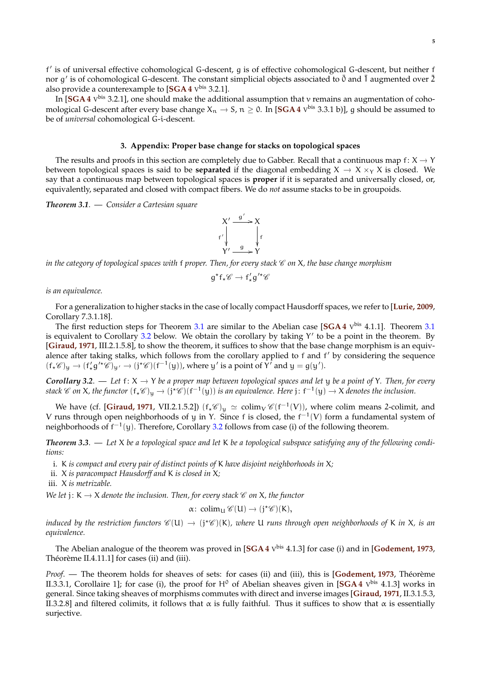<span id="page-4-1"></span>f' is of universal effective cohomological G-descent, g is of effective cohomological G-descent, but neither f nor g' is of cohomological G-descent. The constant simplicial objects associated to  $\bar{0}$  and  $\bar{1}$  augmented over  $\bar{2}$ also provide a counterexample to [**SGA 4** V bis 3.2.1].

In [SGA 4 V<sup>bis</sup> 3.2.1], one should make the additional assumption that v remains an augmentation of cohomological G-descent after every base change  $X_n \to S$ ,  $n \ge 0$ . In  $[\text{SGA 4 V}^{\text{bis}} 3.3.1 \text{ b})]$ , g should be assumed to be of *universal* cohomological G-i-descent.

## **3. Appendix: Proper base change for stacks on topological spaces**

<span id="page-4-0"></span>The results and proofs in this section are completely due to Gabber. Recall that a continuous map f:  $X \rightarrow Y$ between topological spaces is said to be **separated** if the diagonal embedding  $X \to X \times_Y X$  is closed. We say that a continuous map between topological spaces is **proper** if it is separated and universally closed, or, equivalently, separated and closed with compact fibers. We do *not* assume stacks to be in groupoids.

*Theorem 3.1*. — *Consider a Cartesian square*

#### $X' \xrightarrow{g'} X$  $f'$ ľ X f ľ  $\overline{Y'} \stackrel{g}{\longrightarrow} \overline{Y}$

*in the category of topological spaces with* f *proper. Then, for every stack*  $\mathscr C$  *on* X, the base change morphism

$$
g^{\star}f_{\star}\mathscr{C}\to f_{\star}'g^{\prime\star}\mathscr{C}
$$

*is an equivalence.*

For a generalization to higher stacks in the case of locally compact Hausdorff spaces, we refer to [**[Lurie, 2009](#page-5-3)**, Corollary 7.3.1.18].

The first reduction steps for Theorem [3.1](#page-0-3) are similar to the Abelian case [SGA 4  $V<sup>bis</sup>$  4.1.1]. Theorem 3.1 is equivalent to Corollary [3.2](#page-0-3) below. We obtain the corollary by taking Y' to be a point in the theorem. By [**[Giraud, 1971](#page-5-4)**, III.2.1.5.8], to show the theorem, it suffices to show that the base change morphism is an equivalence after taking stalks, which follows from the corollary applied to f and f' by considering the sequence  $(f_*\mathscr{C})_y \to (f'_*g'^*\mathscr{C})_{y'} \to (j^*\mathscr{C})(f^{-1}(y)),$  where y' is a point of Y' and  $y = g(y').$ 

*Corollary 3.2.* — Let  $f: X \to Y$  be a proper map between topological spaces and let y be a point of Y. Then, for every stack  $\mathscr C$  on X, the functor  $(f_*\mathscr C)_y\to (j^*\mathscr C)(f^{-1}(y))$  is an equivalence. Here  $j\colon f^{-1}(y)\to X$  denotes the inclusion.

We have (cf. [**[Giraud, 1971](#page-5-4)**, VII.2.1.5.2])  $(f_*\mathscr{C})_y \simeq \text{colim}_{V} \mathscr{C}(f^{-1}(V))$ , where colim means 2-colimit, and V runs through open neighborhoods of y in Y. Since f is closed, the  $f^{-1}(V)$  form a fundamental system of neighborhoods of  $f^{-1}(y)$ . Therefore, Corollary [3.2](#page-0-3) follows from case (i) of the following theorem.

*Theorem 3.3*. — *Let* X *be a topological space and let* K *be a topological subspace satisfying any of the following conditions:*

- i. K *is compact and every pair of distinct points of* K *have disjoint neighborhoods in* X*;*
- ii. X *is paracompact Hausdorff and* K *is closed in* X*;*

iii. X *is metrizable.*

*We let*  $j: K \to X$  *denote the inclusion. Then, for every stack*  $\mathcal C$  *on* X, the functor

$$
\alpha\colon\operatorname{colim}_U\mathscr{C}(U)\to(j^\star\mathscr{C})(K),
$$

*induced by the restriction functors*  $\mathscr{C}(\mathsf{U}) \to (\mathfrak{j} * \mathscr{C})(\mathsf{K})$ *, where* **U** *runs through open neighborhoods of* K *in* X, *is an*<br>cavinalment *equivalence.*

The Abelian analogue of the theorem was proved in [**SGA 4** V bis 4.1.3] for case (i) and in [**[Godement, 1973](#page-5-5)**, Théorème II.4.11.1] for cases (ii) and (iii).

*Proof*. — The theorem holds for sheaves of sets: for cases (ii) and (iii), this is [**[Godement, 1973](#page-5-5)**, Théorème II.3.3.1, Corollaire 1]; for case (i), the proof for H<sup>0</sup> of Abelian sheaves given in [SGA4 V<sup>bis</sup> 4.1.3] works in general. Since taking sheaves of morphisms commutes with direct and inverse images [**[Giraud, 1971](#page-5-4)**, II.3.1.5.3, II.3.2.8] and filtered colimits, it follows that  $\alpha$  is fully faithful. Thus it suffices to show that  $\alpha$  is essentially surjective.